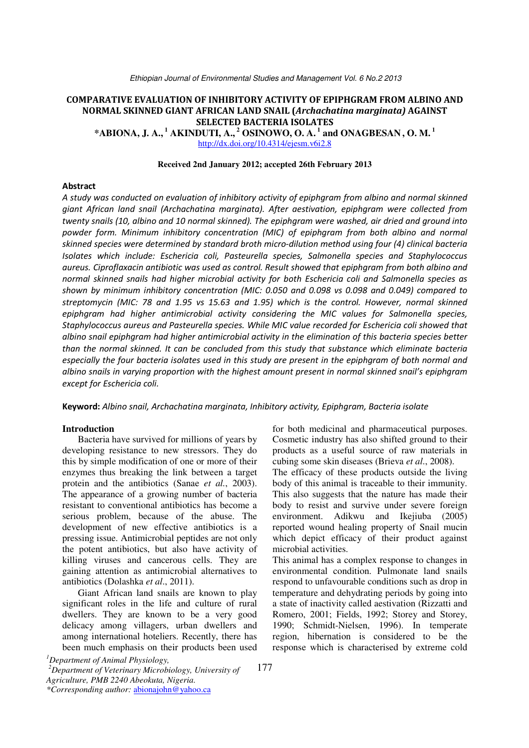## COMPARATIVE EVALUATION OF INHIBITORY ACTIVITY OF EPIPHGRAM FROM ALBINO AND NORMAL SKINNED GIANT AFRICAN LAND SNAIL (Archachatina marginata) AGAINST SELECTED BACTERIA ISOLATES

**\*ABIONA, J. A.,<sup>1</sup> AKINDUTI, A.,<sup>2</sup> OSINOWO, O. A.<sup>1</sup> and ONAGBESAN , O. M.<sup>1</sup>**

http://dx.doi.org/10.4314/ejesm.v6i2.8

## **Received 2nd January 2012; accepted 26th February 2013**

# Abstract

A study was conducted on evaluation of inhibitory activity of epiphgram from albino and normal skinned giant African land snail (Archachatina marginata). After aestivation, epiphgram were collected from twenty snails (10, albino and 10 normal skinned). The epiphgram were washed, air dried and ground into powder form. Minimum inhibitory concentration (MIC) of epiphgram from both albino and normal skinned species were determined by standard broth micro-dilution method using four (4) clinical bacteria Isolates which include: Eschericia coli, Pasteurella species, Salmonella species and Staphylococcus aureus. Ciproflaxacin antibiotic was used as control. Result showed that epiphgram from both albino and normal skinned snails had higher microbial activity for both Eschericia coli and Salmonella species as shown by minimum inhibitory concentration (MIC: 0.050 and 0.098 vs 0.098 and 0.049) compared to streptomycin (MIC: 78 and 1.95 vs 15.63 and 1.95) which is the control. However, normal skinned epiphgram had higher antimicrobial activity considering the MIC values for Salmonella species, Staphylococcus aureus and Pasteurella species. While MIC value recorded for Eschericia coli showed that albino snail epiphgram had higher antimicrobial activity in the elimination of this bacteria species better than the normal skinned. It can be concluded from this study that substance which eliminate bacteria especially the four bacteria isolates used in this study are present in the epiphgram of both normal and albino snails in varying proportion with the highest amount present in normal skinned snail's epiphgram except for Eschericia coli.

Keyword: Albino snail, Archachatina marginata, Inhibitory activity, Epiphgram, Bacteria isolate

### **Introduction**

Bacteria have survived for millions of years by developing resistance to new stressors. They do this by simple modification of one or more of their enzymes thus breaking the link between a target protein and the antibiotics (Sanae *et al.*, 2003). The appearance of a growing number of bacteria resistant to conventional antibiotics has become a serious problem, because of the abuse. The development of new effective antibiotics is a pressing issue. Antimicrobial peptides are not only the potent antibiotics, but also have activity of killing viruses and cancerous cells. They are gaining attention as antimicrobial alternatives to antibiotics (Dolashka *et al*., 2011).

Giant African land snails are known to play significant roles in the life and culture of rural dwellers. They are known to be a very good delicacy among villagers, urban dwellers and among international hoteliers. Recently, there has been much emphasis on their products been used

177 *<sup>2</sup>Department of Veterinary Microbiology, University of Agriculture, PMB 2240 Abeokuta, Nigeria.* 

for both medicinal and pharmaceutical purposes. Cosmetic industry has also shifted ground to their products as a useful source of raw materials in cubing some skin diseases (Brieva *et al*., 2008).

The efficacy of these products outside the living body of this animal is traceable to their immunity. This also suggests that the nature has made their body to resist and survive under severe foreign environment. Adikwu and Ikejiuba (2005) reported wound healing property of Snail mucin which depict efficacy of their product against microbial activities.

This animal has a complex response to changes in environmental condition. Pulmonate land snails respond to unfavourable conditions such as drop in temperature and dehydrating periods by going into a state of inactivity called aestivation (Rizzatti and Romero, 2001; Fields, 1992; Storey and Storey, 1990; Schmidt-Nielsen, 1996). In temperate region, hibernation is considered to be the response which is characterised by extreme cold

*<sup>1</sup>Department of Animal Physiology,* 

*<sup>\*</sup>Corresponding author:* abionajohn@yahoo.ca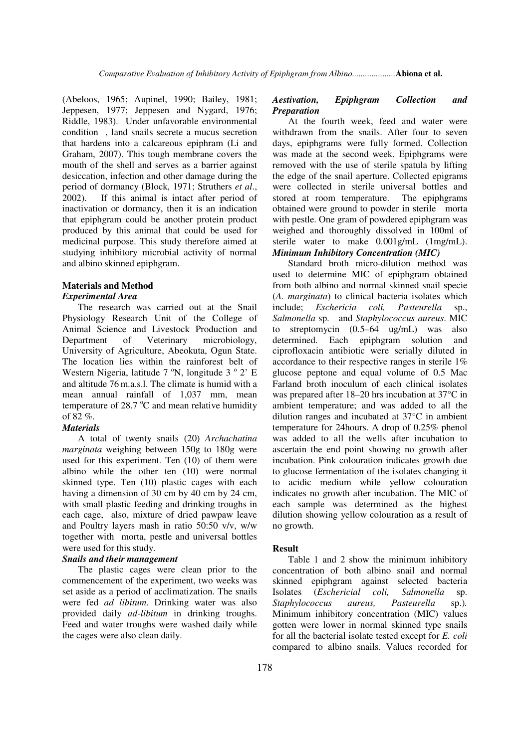(Abeloos, 1965; Aupinel, 1990; Bailey, 1981; Jeppesen, 1977; Jeppesen and Nygard, 1976; Riddle, 1983). Under unfavorable environmental condition , land snails secrete a mucus secretion that hardens into a calcareous epiphram (Li and Graham, 2007). This tough membrane covers the mouth of the shell and serves as a barrier against desiccation, infection and other damage during the period of dormancy (Block, 1971; Struthers *et al*., 2002). If this animal is intact after period of inactivation or dormancy, then it is an indication that epiphgram could be another protein product produced by this animal that could be used for medicinal purpose. This study therefore aimed at studying inhibitory microbial activity of normal and albino skinned epiphgram.

# **Materials and Method**

## *Experimental Area*

The research was carried out at the Snail Physiology Research Unit of the College of Animal Science and Livestock Production and Department of Veterinary microbiology, University of Agriculture, Abeokuta, Ogun State. The location lies within the rainforest belt of Western Nigeria, latitude 7 °N, longitude 3 ° 2' E and altitude 76 m.a.s.l. The climate is humid with a mean annual rainfall of 1,037 mm, mean temperature of  $28.7 \text{ °C}$  and mean relative humidity of  $82 \%$ .

## *Materials*

A total of twenty snails (20) *Archachatina marginata* weighing between 150g to 180g were used for this experiment. Ten (10) of them were albino while the other ten (10) were normal skinned type. Ten (10) plastic cages with each having a dimension of 30 cm by 40 cm by 24 cm, with small plastic feeding and drinking troughs in each cage, also, mixture of dried pawpaw leave and Poultry layers mash in ratio 50:50 v/v, w/w together with morta, pestle and universal bottles were used for this study.

## *Snails and their management*

The plastic cages were clean prior to the commencement of the experiment, two weeks was set aside as a period of acclimatization. The snails were fed *ad libitum*. Drinking water was also provided daily *ad-libitum* in drinking troughs. Feed and water troughs were washed daily while the cages were also clean daily.

## *Aestivation, Epiphgram Collection and Preparation*

At the fourth week, feed and water were withdrawn from the snails. After four to seven days, epiphgrams were fully formed. Collection was made at the second week. Epiphgrams were removed with the use of sterile spatula by lifting the edge of the snail aperture. Collected epigrams were collected in sterile universal bottles and stored at room temperature. The epiphgrams obtained were ground to powder in sterile morta with pestle. One gram of powdered epiphgram was weighed and thoroughly dissolved in 100ml of sterile water to make 0.001g/mL (1mg/mL). *Minimum Inhibitory Concentration (MIC)*

Standard broth micro-dilution method was used to determine MIC of epiphgram obtained from both albino and normal skinned snail specie (*A. marginata*) to clinical bacteria isolates which include; *Eschericia coli, Pasteurella* sp., *Salmonella* sp. and *Staphylococcus aureus*. MIC to streptomycin (0.5–64 ug/mL) was also determined. Each epiphgram solution and ciprofloxacin antibiotic were serially diluted in accordance to their respective ranges in sterile 1% glucose peptone and equal volume of 0.5 Mac Farland broth inoculum of each clinical isolates was prepared after 18–20 hrs incubation at 37°C in ambient temperature; and was added to all the dilution ranges and incubated at 37°C in ambient temperature for 24hours. A drop of 0.25% phenol was added to all the wells after incubation to ascertain the end point showing no growth after incubation. Pink colouration indicates growth due to glucose fermentation of the isolates changing it to acidic medium while yellow colouration indicates no growth after incubation. The MIC of each sample was determined as the highest dilution showing yellow colouration as a result of no growth.

## **Result**

Table 1 and 2 show the minimum inhibitory concentration of both albino snail and normal skinned epiphgram against selected bacteria Isolates (*Eschericial coli, Salmonella* sp. *Staphylococcus aureus, Pasteurella* sp.)*.* Minimum inhibitory concentration (MIC) values gotten were lower in normal skinned type snails for all the bacterial isolate tested except for *E. coli* compared to albino snails. Values recorded for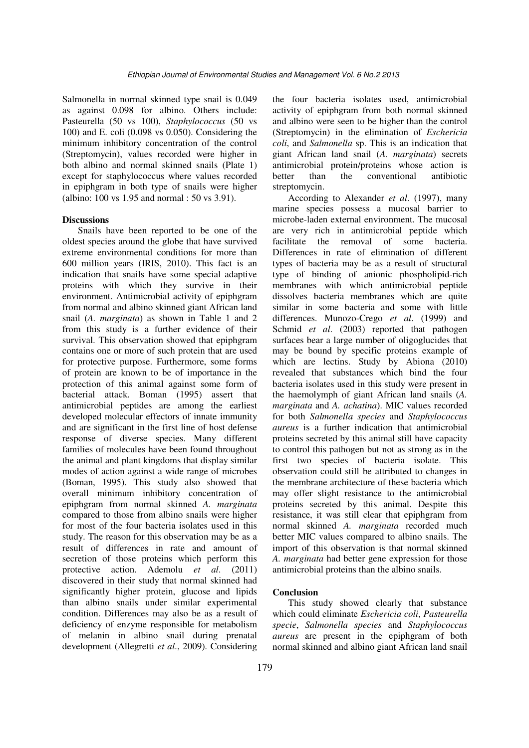Salmonella in normal skinned type snail is 0.049 as against 0.098 for albino. Others include: Pasteurella (50 vs 100), *Staphylococcus* (50 vs 100) and E. coli (0.098 vs 0.050). Considering the minimum inhibitory concentration of the control (Streptomycin), values recorded were higher in both albino and normal skinned snails (Plate 1) except for staphylococcus where values recorded in epiphgram in both type of snails were higher (albino: 100 vs 1.95 and normal : 50 vs 3.91).

#### **Discussions**

Snails have been reported to be one of the oldest species around the globe that have survived extreme environmental conditions for more than 600 million years (IRIS, 2010). This fact is an indication that snails have some special adaptive proteins with which they survive in their environment. Antimicrobial activity of epiphgram from normal and albino skinned giant African land snail (*A. marginata*) as shown in Table 1 and 2 from this study is a further evidence of their survival. This observation showed that epiphgram contains one or more of such protein that are used for protective purpose. Furthermore, some forms of protein are known to be of importance in the protection of this animal against some form of bacterial attack. Boman (1995) assert that antimicrobial peptides are among the earliest developed molecular effectors of innate immunity and are significant in the first line of host defense response of diverse species. Many different families of molecules have been found throughout the animal and plant kingdoms that display similar modes of action against a wide range of microbes (Boman, 1995). This study also showed that overall minimum inhibitory concentration of epiphgram from normal skinned *A. marginata* compared to those from albino snails were higher for most of the four bacteria isolates used in this study. The reason for this observation may be as a result of differences in rate and amount of secretion of those proteins which perform this protective action. Ademolu *et al*. (2011) discovered in their study that normal skinned had significantly higher protein, glucose and lipids than albino snails under similar experimental condition. Differences may also be as a result of deficiency of enzyme responsible for metabolism of melanin in albino snail during prenatal development (Allegretti *et al*., 2009). Considering

the four bacteria isolates used, antimicrobial activity of epiphgram from both normal skinned and albino were seen to be higher than the control (Streptomycin) in the elimination of *Eschericia coli*, and *Salmonella* sp. This is an indication that giant African land snail (*A. marginata*) secrets antimicrobial protein/proteins whose action is better than the conventional antibiotic streptomycin.

According to Alexander *et al*. (1997), many marine species possess a mucosal barrier to microbe-laden external environment. The mucosal are very rich in antimicrobial peptide which facilitate the removal of some bacteria. Differences in rate of elimination of different types of bacteria may be as a result of structural type of binding of anionic phospholipid-rich membranes with which antimicrobial peptide dissolves bacteria membranes which are quite similar in some bacteria and some with little differences. Munozo-Crego *et al*. (1999) and Schmid *et al*. (2003) reported that pathogen surfaces bear a large number of oligoglucides that may be bound by specific proteins example of which are lectins. Study by Abiona (2010) revealed that substances which bind the four bacteria isolates used in this study were present in the haemolymph of giant African land snails (*A. marginata* and *A. achatina*). MIC values recorded for both *Salmonella species* and *Staphylococcus aureus* is a further indication that antimicrobial proteins secreted by this animal still have capacity to control this pathogen but not as strong as in the first two species of bacteria isolate. This observation could still be attributed to changes in the membrane architecture of these bacteria which may offer slight resistance to the antimicrobial proteins secreted by this animal. Despite this resistance, it was still clear that epiphgram from normal skinned *A. marginata* recorded much better MIC values compared to albino snails. The import of this observation is that normal skinned *A. marginata* had better gene expression for those antimicrobial proteins than the albino snails.

#### **Conclusion**

This study showed clearly that substance which could eliminate *Eschericia coli*, *Pasteurella specie*, *Salmonella species* and *Staphylococcus aureus* are present in the epiphgram of both normal skinned and albino giant African land snail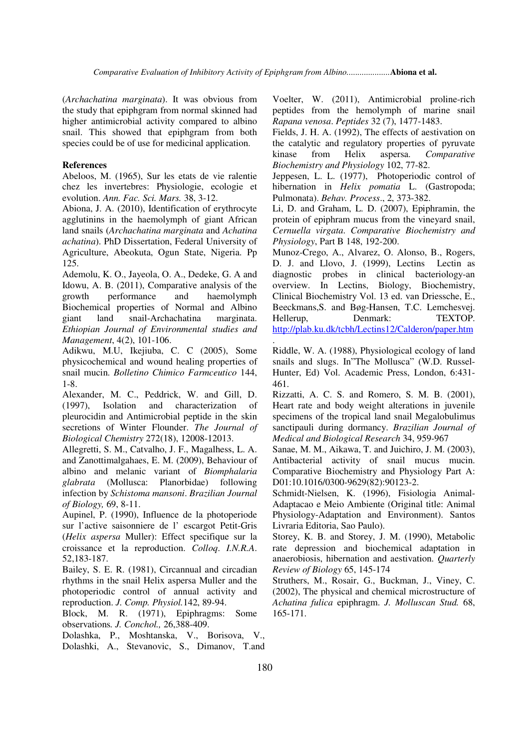(*Archachatina marginata*). It was obvious from the study that epiphgram from normal skinned had higher antimicrobial activity compared to albino snail. This showed that epiphgram from both species could be of use for medicinal application.

## **References**

Abeloos, M. (1965), Sur les etats de vie ralentie chez les invertebres: Physiologie, ecologie et evolution. *Ann. Fac. Sci. Mars.* 38, 3-12.

Abiona, J. A. (2010), Identification of erythrocyte agglutinins in the haemolymph of giant African land snails (*Archachatina marginata* and *Achatina achatina*). PhD Dissertation, Federal University of Agriculture, Abeokuta, Ogun State, Nigeria. Pp 125.

Ademolu, K. O., Jayeola, O. A., Dedeke, G. A and Idowu, A. B. (2011), Comparative analysis of the growth performance and haemolymph Biochemical properties of Normal and Albino giant land snail-Archachatina marginata. *Ethiopian Journal of Environmental studies and Management*, 4(2), 101-106.

Adikwu, M.U, Ikejiuba, C. C (2005), Some physicochemical and wound healing properties of snail mucin. *Bolletino Chimico Farmceutico* 144, 1-8.

Alexander, M. C., Peddrick, W. and Gill, D. (1997), Isolation and characterization of pleurocidin and Antimicrobial peptide in the skin secretions of Winter Flounder. *The Journal of Biological Chemistry* 272(18), 12008-12013.

Allegretti, S. M., Catvalho, J. F., Magalhess, L. A. and Zanottimalgahaes, E. M. (2009), Behaviour of albino and melanic variant of *Biomphalaria glabrata* (Mollusca: Planorbidae) following infection by *Schistoma mansoni*. *Brazilian Journal of Biology,* 69, 8-11.

Aupinel, P. (1990), Influence de la photoperiode sur l'active saisonniere de l' escargot Petit-Gris (*Helix aspersa* Muller): Effect specifique sur la croissance et la reproduction. *Colloq*. *I.N.R.A*. 52,183-187.

Bailey, S. E. R. (1981), Circannual and circadian rhythms in the snail Helix aspersa Muller and the photoperiodic control of annual activity and reproduction. *J. Comp. Physiol.*142, 89-94.

Block, M. R. (1971), Epiphragms: Some observations*. J. Conchol.,* 26,388-409.

Dolashka, P., Moshtanska, V., Borisova, V., Dolashki, A., Stevanovic, S., Dimanov, T.and

Voelter, W. (2011), Antimicrobial proline-rich peptides from the hemolymph of marine snail *Rapana venosa*. *Peptides* 32 (7), 1477-1483.

Fields, J. H. A. (1992), The effects of aestivation on the catalytic and regulatory properties of pyruvate kinase from Helix aspersa. *Comparative Biochemistry and Physiology* 102, 77-82.

Jeppesen, L. L. (1977), Photoperiodic control of hibernation in *Helix pomatia* L. (Gastropoda; Pulmonata). *Behav. Process*., 2, 373-382.

Li, D. and Graham, L. D. (2007), Epiphramin, the protein of epiphram mucus from the vineyard snail, *Cernuella virgata*. *Comparative Biochemistry and Physiology*, Part B 148, 192-200.

Munoz-Crego, A., Alvarez, O. Alonso, B., Rogers, D. J. and Llovo, J. (1999), Lectins Lectin as diagnostic probes in clinical bacteriology-an overview. In Lectins, Biology, Biochemistry, Clinical Biochemistry Vol. 13 ed. van Driessche, E., Beeckmans,S. and Bøg-Hansen, T.C. Lemchesvej. Hellerup, Denmark: TEXTOP. http://plab.ku.dk/tcbh/Lectins12/Calderon/paper.htm

. Riddle, W. A. (1988), Physiological ecology of land snails and slugs. In"The Mollusca" (W.D. Russel-Hunter, Ed) Vol. Academic Press, London, 6:431- 461.

Rizzatti, A. C. S. and Romero, S. M. B. (2001), Heart rate and body weight alterations in juvenile specimens of the tropical land snail Megalobulimus sanctipauli during dormancy. *Brazilian Journal of Medical and Biological Research* 34, 959-967

Sanae, M. M., Aikawa, T. and Juichiro, J. M. (2003), Antibacterial activity of snail mucus mucin. Comparative Biochemistry and Physiology Part A: D01:10.1016/0300-9629(82):90123-2.

Schmidt-Nielsen, K. (1996), Fisiologia Animal-Adaptacao e Meio Ambiente (Original title: Animal Physiology-Adaptation and Environment). Santos Livraria Editoria, Sao Paulo).

Storey, K. B. and Storey, J. M. (1990), Metabolic rate depression and biochemical adaptation in anaerobiosis, hibernation and aestivation. *Quarterly Review of Biology* 65, 145-174

Struthers, M., Rosair, G., Buckman, J., Viney, C. (2002), The physical and chemical microstructure of *Achatina fulica* epiphragm. *J. Molluscan Stud.* 68, 165-171.